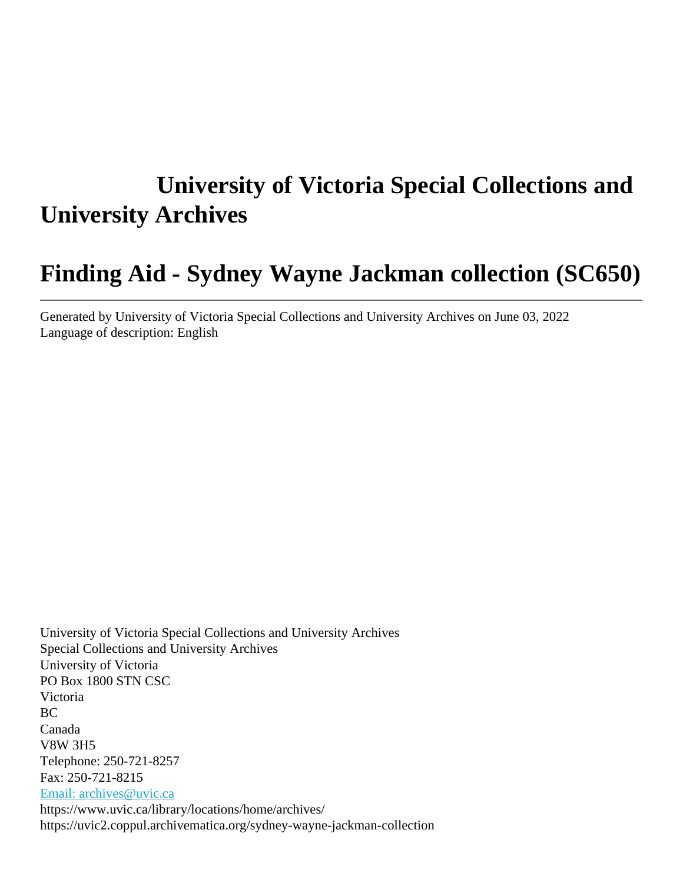# **University of Victoria Special Collections and University Archives**

## **Finding Aid - Sydney Wayne Jackman collection (SC650)**

Generated by University of Victoria Special Collections and University Archives on June 03, 2022 Language of description: English

University of Victoria Special Collections and University Archives Special Collections and University Archives University of Victoria PO Box 1800 STN CSC Victoria BC Canada V8W 3H5 Telephone: 250-721-8257 Fax: 250-721-8215 [Email: archives@uvic.ca](mailto:Email: archives@uvic.ca) https://www.uvic.ca/library/locations/home/archives/ https://uvic2.coppul.archivematica.org/sydney-wayne-jackman-collection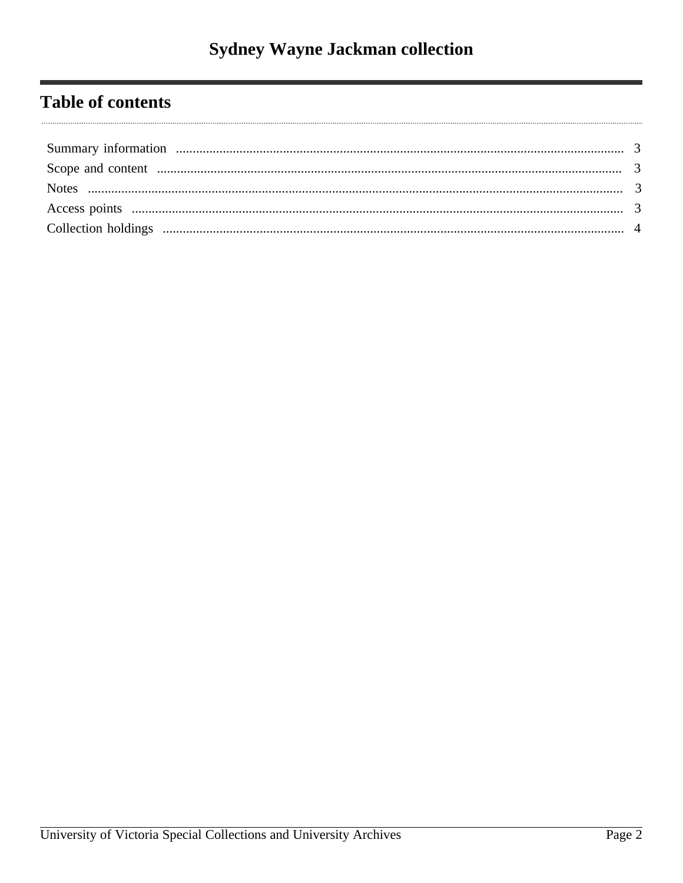## **Table of contents**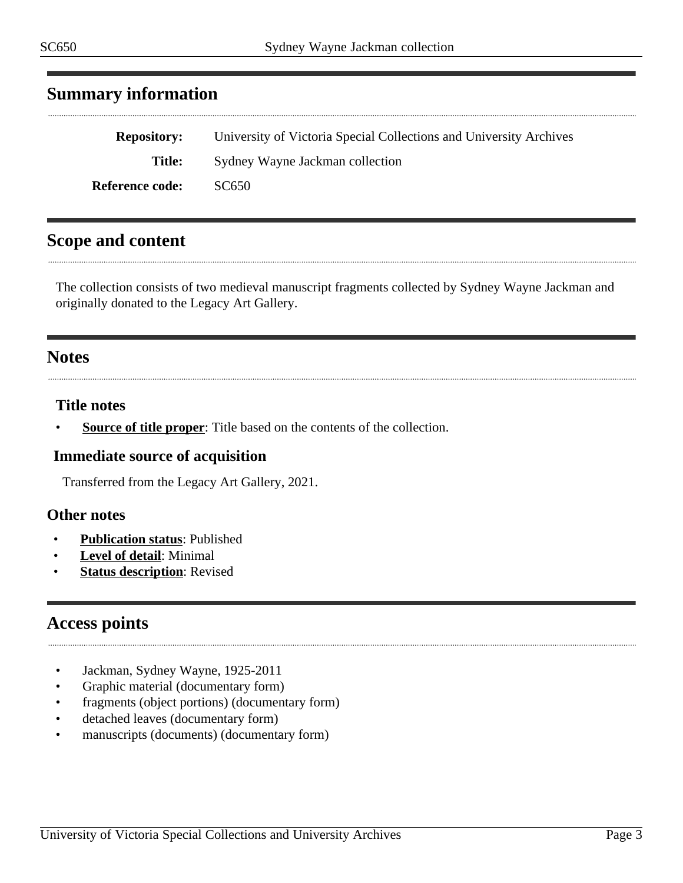## <span id="page-2-0"></span>**Summary information**

| <b>Repository:</b>     | University of Victoria Special Collections and University Archives |
|------------------------|--------------------------------------------------------------------|
| Title:                 | Sydney Wayne Jackman collection                                    |
| <b>Reference code:</b> | SC650                                                              |

## <span id="page-2-1"></span>**Scope and content**

The collection consists of two medieval manuscript fragments collected by Sydney Wayne Jackman and originally donated to the Legacy Art Gallery.

#### <span id="page-2-2"></span>**Notes**

#### **Title notes**

**<u>Source of title proper</u>**: Title based on the contents of the collection.

#### **Immediate source of acquisition**

Transferred from the Legacy Art Gallery, 2021.

#### **Other notes**

- **Publication status**: Published
- Level of detail: Minimal
- **Status description:** Revised

## <span id="page-2-3"></span>**Access points**

- Jackman, Sydney Wayne, 1925-2011
- Graphic material (documentary form)
- fragments (object portions) (documentary form)
- detached leaves (documentary form)
- manuscripts (documents) (documentary form)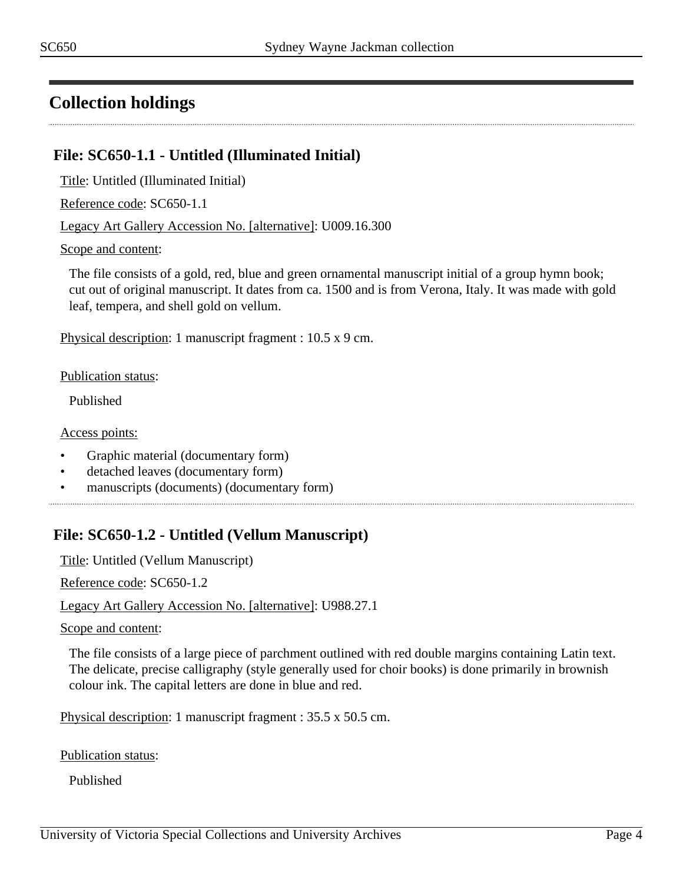## <span id="page-3-0"></span>**Collection holdings**

#### **File: SC650-1.1 - Untitled (Illuminated Initial)**

Title: Untitled (Illuminated Initial)

Reference code: SC650-1.1

Legacy Art Gallery Accession No. [alternative]: U009.16.300

Scope and content:

The file consists of a gold, red, blue and green ornamental manuscript initial of a group hymn book; cut out of original manuscript. It dates from ca. 1500 and is from Verona, Italy. It was made with gold leaf, tempera, and shell gold on vellum.

Physical description: 1 manuscript fragment : 10.5 x 9 cm.

Publication status:

Published

Access points:

- Graphic material (documentary form)
- detached leaves (documentary form)
- manuscripts (documents) (documentary form)

### **File: SC650-1.2 - Untitled (Vellum Manuscript)**

Title: Untitled (Vellum Manuscript)

Reference code: SC650-1.2

Legacy Art Gallery Accession No. [alternative]: U988.27.1

Scope and content:

The file consists of a large piece of parchment outlined with red double margins containing Latin text. The delicate, precise calligraphy (style generally used for choir books) is done primarily in brownish colour ink. The capital letters are done in blue and red.

Physical description: 1 manuscript fragment : 35.5 x 50.5 cm.

Publication status:

Published